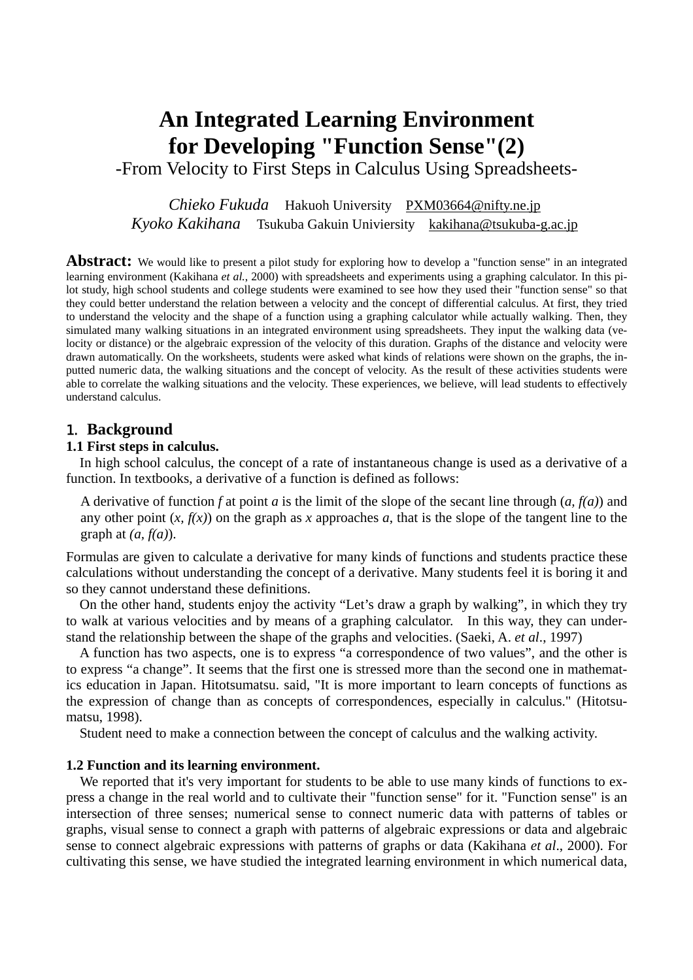# **An Integrated Learning Environment for Developing "Function Sense"(2)**

-From Velocity to First Steps in Calculus Using Spreadsheets-

*Chieko Fukuda* Hakuoh University [PXM03664@nifty.ne.jp](mailto:PXM03664@nifty.ne.jp) *Kyoko Kakihana* Tsukuba Gakuin Univiersity [kakihana@tsukuba-g.ac.jp](mailto:kakihana@tsukuba-g.ac.jp)

**Abstract:** We would like to present a pilot study for exploring how to develop a "function sense" in an integrated learning environment (Kakihana *et al.*, 2000) with spreadsheets and experiments using a graphing calculator. In this pilot study, high school students and college students were examined to see how they used their "function sense" so that they could better understand the relation between a velocity and the concept of differential calculus. At first, they tried to understand the velocity and the shape of a function using a graphing calculator while actually walking. Then, they simulated many walking situations in an integrated environment using spreadsheets. They input the walking data (velocity or distance) or the algebraic expression of the velocity of this duration. Graphs of the distance and velocity were drawn automatically. On the worksheets, students were asked what kinds of relations were shown on the graphs, the inputted numeric data, the walking situations and the concept of velocity. As the result of these activities students were able to correlate the walking situations and the velocity. These experiences, we believe, will lead students to effectively understand calculus.

### 1. **Background**

#### **1.1 First steps in calculus.**

In high school calculus, the concept of a rate of instantaneous change is used as a derivative of a function. In textbooks, a derivative of a function is defined as follows:

A derivative of function f at point  $a$  is the limit of the slope of the secant line through  $(a, f(a))$  and any other point  $(x, f(x))$  on the graph as x approaches a, that is the slope of the tangent line to the graph at *(a, f(a)*).

Formulas are given to calculate a derivative for many kinds of functions and students practice these calculations without understanding the concept of a derivative. Many students feel it is boring it and so they cannot understand these definitions.

On the other hand, students enjoy the activity "Let's draw a graph by walking", in which they try to walk at various velocities and by means of a graphing calculator. In this way, they can understand the relationship between the shape of the graphs and velocities. (Saeki, A. *et al*., 1997)

A function has two aspects, one is to express "a correspondence of two values", and the other is to express "a change". It seems that the first one is stressed more than the second one in mathematics education in Japan. Hitotsumatsu. said, "It is more important to learn concepts of functions as the expression of change than as concepts of correspondences, especially in calculus." (Hitotsumatsu, 1998).

Student need to make a connection between the concept of calculus and the walking activity.

#### **1.2 Function and its learning environment.**

We reported that it's very important for students to be able to use many kinds of functions to express a change in the real world and to cultivate their "function sense" for it. "Function sense" is an intersection of three senses; numerical sense to connect numeric data with patterns of tables or graphs, visual sense to connect a graph with patterns of algebraic expressions or data and algebraic sense to connect algebraic expressions with patterns of graphs or data (Kakihana *et al*., 2000). For cultivating this sense, we have studied the integrated learning environment in which numerical data,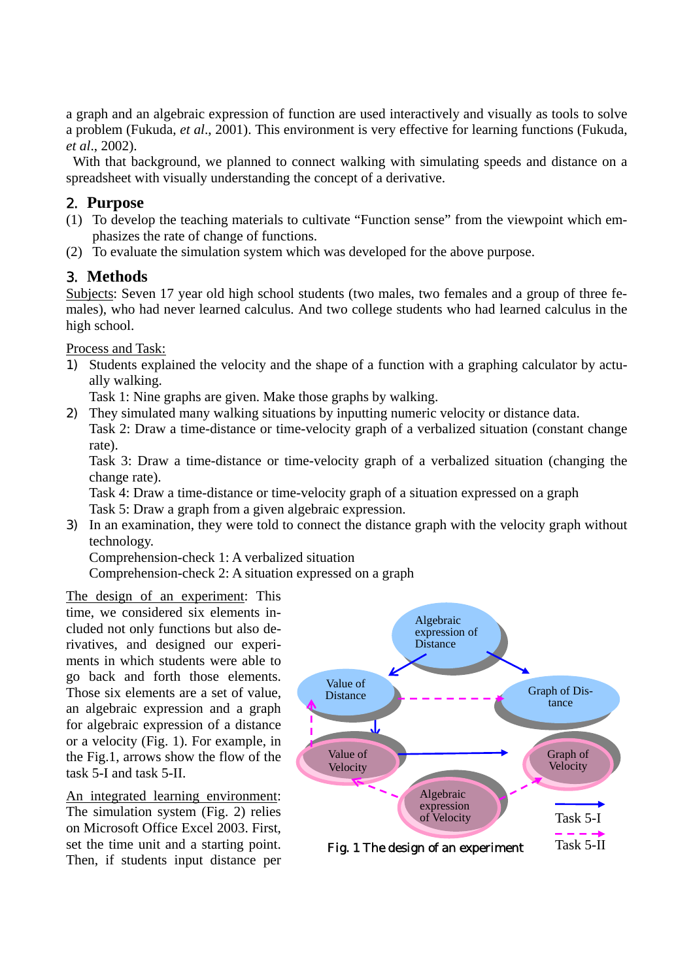a graph and an algebraic expression of function are used interactively and visually as tools to solve a problem (Fukuda, *et al*., 2001). This environment is very effective for learning functions (Fukuda, *et al*., 2002).

With that background, we planned to connect walking with simulating speeds and distance on a spreadsheet with visually understanding the concept of a derivative.

# 2. **Purpose**

- (1) To develop the teaching materials to cultivate "Function sense" from the viewpoint which emphasizes the rate of change of functions.
- (2) To evaluate the simulation system which was developed for the above purpose.

# 3. **Methods**

Subjects: Seven 17 year old high school students (two males, two females and a group of three females), who had never learned calculus. And two college students who had learned calculus in the high school.

Process and Task:

1) Students explained the velocity and the shape of a function with a graphing calculator by actually walking.

Task 1: Nine graphs are given. Make those graphs by walking.

2) They simulated many walking situations by inputting numeric velocity or distance data. Task 2: Draw a time-distance or time-velocity graph of a verbalized situation (constant change rate).

Task 3: Draw a time-distance or time-velocity graph of a verbalized situation (changing the change rate).

Task 4: Draw a time-distance or time-velocity graph of a situation expressed on a graph

Task 5: Draw a graph from a given algebraic expression.

3) In an examination, they were told to connect the distance graph with the velocity graph without technology.

Comprehension-check 1: A verbalized situation

Comprehension-check 2: A situation expressed on a graph

The design of an experiment: This time, we considered six elements included not only functions but also derivatives, and designed our experiments in which students were able to go back and forth those elements. Those six elements are a set of value, an algebraic expression and a graph for algebraic expression of a distance or a velocity (Fig. 1). For example, in the Fig.1, arrows show the flow of the task 5-I and task 5-II.

An integrated learning environment: The simulation system (Fig. 2) relies on Microsoft Office Excel 2003. First, set the time unit and a starting point. Then, if students input distance per

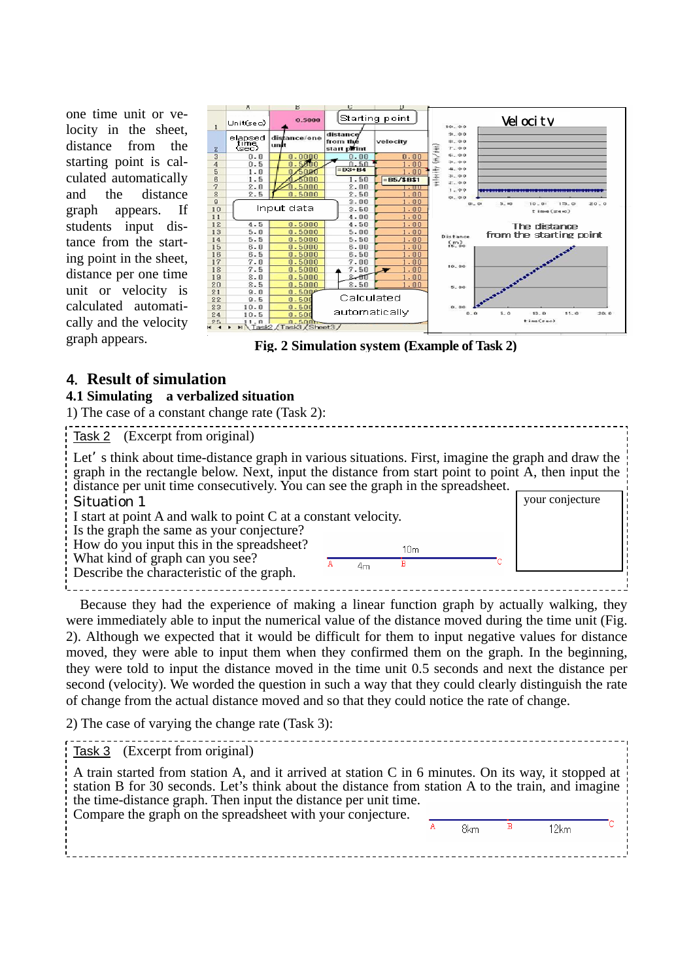one time unit or velocity in the sheet, distance from the starting point is calculated automatically and the distance graph appears. If students input distance from the starting point in the sheet, distance per one time unit or velocity is calculated automatically and the velocity graph appears.



**Fig. 2 Simulation system (Example of Task 2)**

# 4. **Result of simulation**

# **4.1 Simulating a verbalized situation**

1) The case of a constant change rate (Task 2):

Task 2 (Excerpt from original) Let s think about time-distance graph in various situations. First, imagine the graph and draw the graph in the rectangle below. Next, input the distance from start point to point A, then input the distance per unit time consecutively. You can see the graph in the spreadsheet. your conjecture Situation 1 I start at point A and walk to point C at a constant velocity. Is the graph the same as your conjecture? How do you input this in the spreadsheet?  $10<sub>m</sub>$ What kind of graph can you see?  $4<sub>m</sub>$  $\overline{\mathbf{B}}$ Describe the characteristic of the graph.

Because they had the experience of making a linear function graph by actually walking, they were immediately able to input the numerical value of the distance moved during the time unit (Fig. 2). Although we expected that it would be difficult for them to input negative values for distance moved, they were able to input them when they confirmed them on the graph. In the beginning, they were told to input the distance moved in the time unit 0.5 seconds and next the distance per second (velocity). We worded the question in such a way that they could clearly distinguish the rate of change from the actual distance moved and so that they could notice the rate of change.

2) The case of varying the change rate (Task 3):

| Task 3 (Excerpt from original)                                                                                                                                                                                                                                                                                                                          |  |     |  |      |  |
|---------------------------------------------------------------------------------------------------------------------------------------------------------------------------------------------------------------------------------------------------------------------------------------------------------------------------------------------------------|--|-----|--|------|--|
| A train started from station A, and it arrived at station C in 6 minutes. On its way, it stopped at $\frac{1}{2}$<br>station B for 30 seconds. Let's think about the distance from station A to the train, and imagine<br>the time-distance graph. Then input the distance per unit time.<br>Compare the graph on the spreadsheet with your conjecture. |  |     |  |      |  |
|                                                                                                                                                                                                                                                                                                                                                         |  | 8km |  | 12km |  |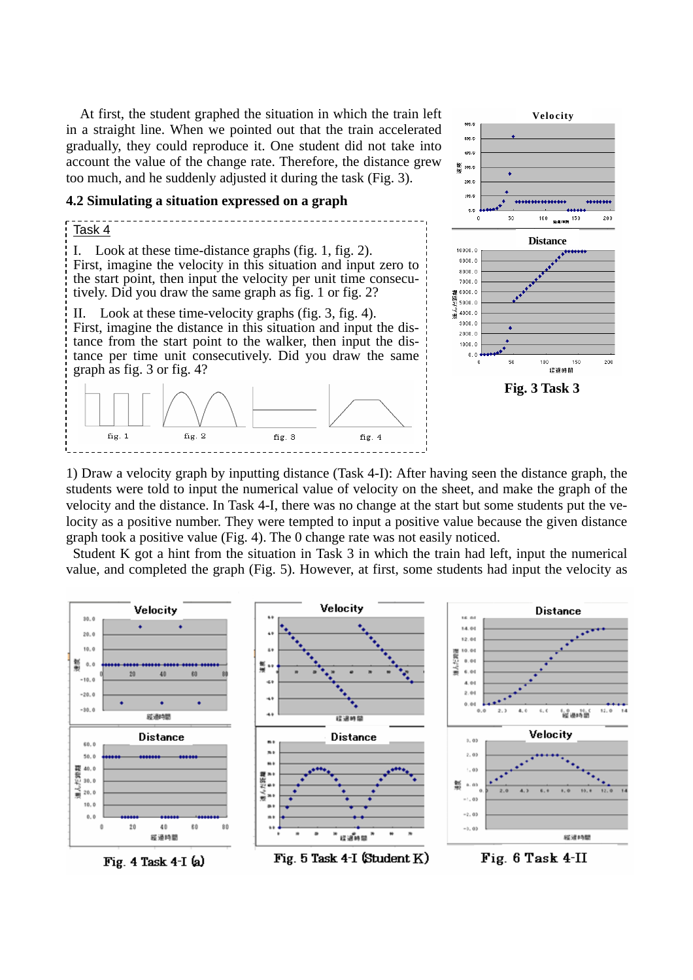At first, the student graphed the situation in which the train left in a straight line. When we pointed out that the train accelerated gradually, they could reproduce it. One student did not take into account the value of the change rate. Therefore, the distance grew too much, and he suddenly adjusted it during the task (Fig. 3).

#### **4.2 Simulating a situation expressed on a graph**





1) Draw a velocity graph by inputting distance (Task 4-I): After having seen the distance graph, the students were told to input the numerical value of velocity on the sheet, and make the graph of the velocity and the distance. In Task 4-I, there was no change at the start but some students put the velocity as a positive number. They were tempted to input a positive value because the given distance graph took a positive value (Fig. 4). The 0 change rate was not easily noticed.

Student K got a hint from the situation in Task 3 in which the train had left, input the numerical value, and completed the graph (Fig. 5). However, at first, some students had input the velocity as

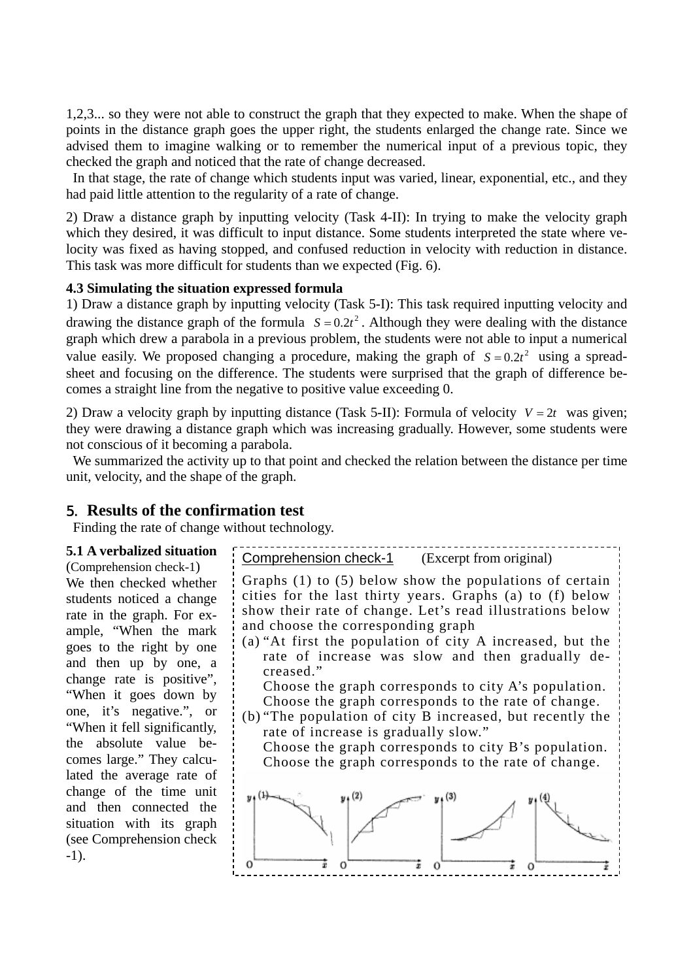1,2,3... so they were not able to construct the graph that they expected to make. When the shape of points in the distance graph goes the upper right, the students enlarged the change rate. Since we advised them to imagine walking or to remember the numerical input of a previous topic, they checked the graph and noticed that the rate of change decreased.

In that stage, the rate of change which students input was varied, linear, exponential, etc., and they had paid little attention to the regularity of a rate of change.

2) Draw a distance graph by inputting velocity (Task 4-II): In trying to make the velocity graph which they desired, it was difficult to input distance. Some students interpreted the state where velocity was fixed as having stopped, and confused reduction in velocity with reduction in distance. This task was more difficult for students than we expected (Fig. 6).

#### **4.3 Simulating the situation expressed formula**

1) Draw a distance graph by inputting velocity (Task 5-I): This task required inputting velocity and drawing the distance graph of the formula  $S = 0.2t^2$ . Although they were dealing with the distance graph which drew a parabola in a previous problem, the students were not able to input a numerical value easily. We proposed changing a procedure, making the graph of  $S = 0.2t^2$  using a spreadsheet and focusing on the difference. The students were surprised that the graph of difference becomes a straight line from the negative to positive value exceeding 0.

2) Draw a velocity graph by inputting distance (Task 5-II): Formula of velocity  $V = 2t$  was given; they were drawing a distance graph which was increasing gradually. However, some students were not conscious of it becoming a parabola.

We summarized the activity up to that point and checked the relation between the distance per time unit, velocity, and the shape of the graph.

#### 5. **Results of the confirmation test**

Finding the rate of change without technology.

# **5.1 A verbalized situation**

We then checked whether students noticed a change rate in the graph. For example, "When the mark goes to the right by one and then up by one, a change rate is positive", "When it goes down by one, it's negative.", or "When it fell significantly, the absolute value becomes large." They calculated the average rate of change of the time unit and then connected the situation with its graph (see Comprehension check -1).

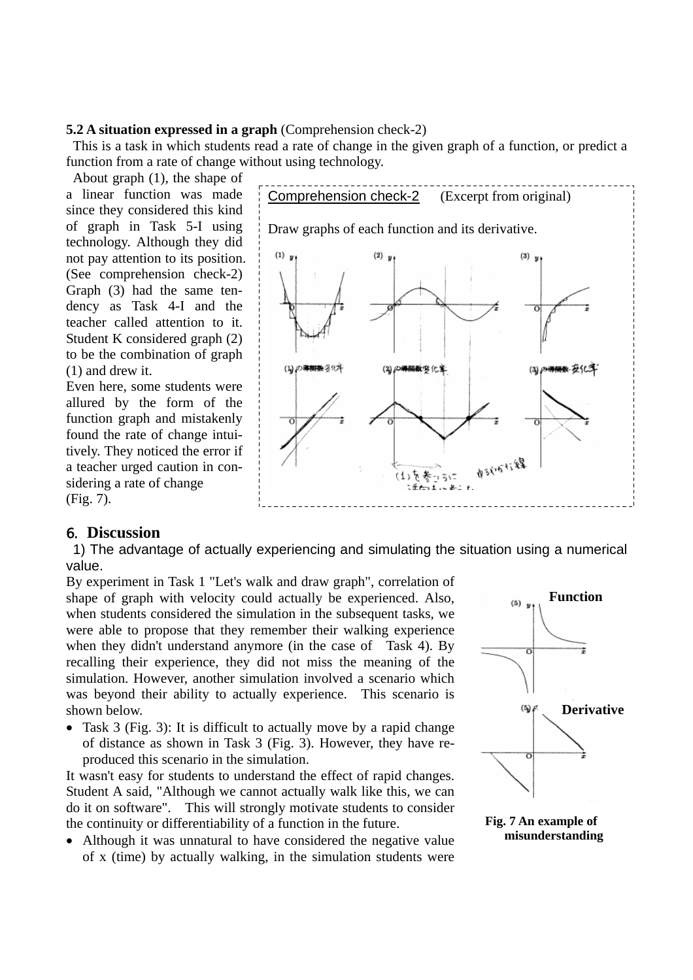#### **5.2 A situation expressed in a graph** (Comprehension check-2)

This is a task in which students read a rate of change in the given graph of a function, or predict a function from a rate of change without using technology.

About graph (1), the shape of a linear function was made since they considered this kind of graph in Task 5-I using technology. Although they did not pay attention to its position. (See comprehension check-2) Graph (3) had the same tendency as Task 4-I and the teacher called attention to it. Student K considered graph (2) to be the combination of graph (1) and drew it.

Even here, some students were allured by the form of the function graph and mistakenly found the rate of change intuitively. They noticed the error if a teacher urged caution in considering a rate of change (Fig. 7).

# Comprehension check-2 (Excerpt from original) Draw graphs of each function and its derivative.  $(1)$  y  $(2)$  y  $(3)$  y (1)の導動数多化す (2) の等陽数 9 化室  $(3)$ ||铁安化学 **1935-5-48** きがい

## 6. **Discussion**

1) The advantage of actually experiencing and simulating the situation using a numerical value.

By experiment in Task 1 "Let's walk and draw graph", correlation of shape of graph with velocity could actually be experienced. Also, when students considered the simulation in the subsequent tasks, we were able to propose that they remember their walking experience when they didn't understand anymore (in the case of Task 4). By recalling their experience, they did not miss the meaning of the simulation. However, another simulation involved a scenario which was beyond their ability to actually experience. This scenario is shown below. **Department of the state of the state of the state of the state of the state of the state of the state of the state of the state of the state of the state of the state of the state of the state of the state of** 

• Task 3 (Fig. 3): It is difficult to actually move by a rapid change of distance as shown in Task 3 (Fig. 3). However, they have reproduced this scenario in the simulation.

It wasn't easy for students to understand the effect of rapid changes. Student A said, "Although we cannot actually walk like this, we can do it on software". This will strongly motivate students to consider the continuity or differentiability of a function in the future. **Fig. 7 An example of Fig. 7 An example of Fig. 7 An example of Fig. 7 An example of Fig. 7 An example of Fig. 7 An example of Fig. 7 An example** 

• Although it was unnatural to have considered the negative value of x (time) by actually walking, in the simulation students were



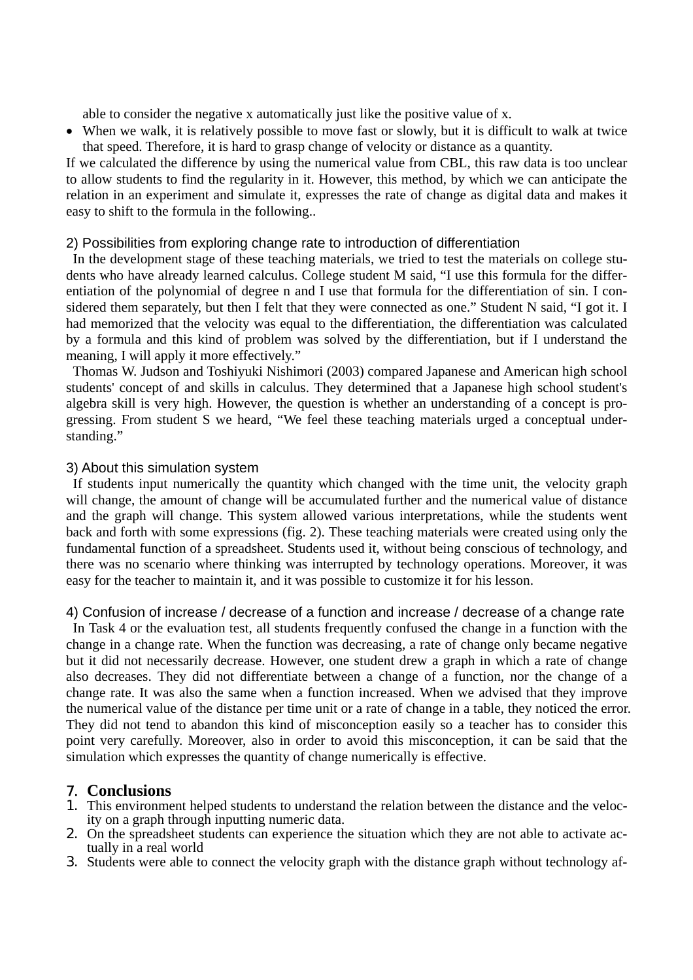able to consider the negative x automatically just like the positive value of x.

• When we walk, it is relatively possible to move fast or slowly, but it is difficult to walk at twice that speed. Therefore, it is hard to grasp change of velocity or distance as a quantity.

If we calculated the difference by using the numerical value from CBL, this raw data is too unclear to allow students to find the regularity in it. However, this method, by which we can anticipate the relation in an experiment and simulate it, expresses the rate of change as digital data and makes it easy to shift to the formula in the following..

## 2) Possibilities from exploring change rate to introduction of differentiation

In the development stage of these teaching materials, we tried to test the materials on college students who have already learned calculus. College student M said, "I use this formula for the differentiation of the polynomial of degree n and I use that formula for the differentiation of sin. I considered them separately, but then I felt that they were connected as one." Student N said, "I got it. I had memorized that the velocity was equal to the differentiation, the differentiation was calculated by a formula and this kind of problem was solved by the differentiation, but if I understand the meaning, I will apply it more effectively."

Thomas W. Judson and Toshiyuki Nishimori (2003) compared Japanese and American high school students' concept of and skills in calculus. They determined that a Japanese high school student's algebra skill is very high. However, the question is whether an understanding of a concept is progressing. From student S we heard, "We feel these teaching materials urged a conceptual understanding."

# 3) About this simulation system

If students input numerically the quantity which changed with the time unit, the velocity graph will change, the amount of change will be accumulated further and the numerical value of distance and the graph will change. This system allowed various interpretations, while the students went back and forth with some expressions (fig. 2). These teaching materials were created using only the fundamental function of a spreadsheet. Students used it, without being conscious of technology, and there was no scenario where thinking was interrupted by technology operations. Moreover, it was easy for the teacher to maintain it, and it was possible to customize it for his lesson.

4) Confusion of increase / decrease of a function and increase / decrease of a change rate

In Task 4 or the evaluation test, all students frequently confused the change in a function with the change in a change rate. When the function was decreasing, a rate of change only became negative but it did not necessarily decrease. However, one student drew a graph in which a rate of change also decreases. They did not differentiate between a change of a function, nor the change of a change rate. It was also the same when a function increased. When we advised that they improve the numerical value of the distance per time unit or a rate of change in a table, they noticed the error. They did not tend to abandon this kind of misconception easily so a teacher has to consider this point very carefully. Moreover, also in order to avoid this misconception, it can be said that the simulation which expresses the quantity of change numerically is effective.

# 7. **Conclusions**

- 1. This environment helped students to understand the relation between the distance and the velocity on a graph through inputting numeric data.
- 2. On the spreadsheet students can experience the situation which they are not able to activate actually in a real world
- 3. Students were able to connect the velocity graph with the distance graph without technology af-